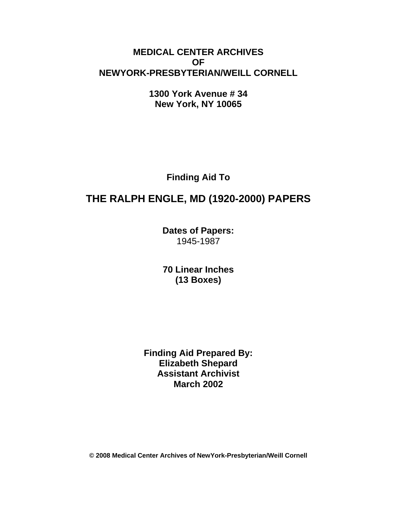# **MEDICAL CENTER ARCHIVES OF NEWYORK-PRESBYTERIAN/WEILL CORNELL**

**1300 York Avenue # 34 New York, NY 10065** 

**Finding Aid To** 

# **THE RALPH ENGLE, MD (1920-2000) PAPERS**

**Dates of Papers:**  1945-1987

**70 Linear Inches (13 Boxes)** 

**Finding Aid Prepared By: Elizabeth Shepard Assistant Archivist March 2002** 

**© 2008 Medical Center Archives of NewYork-Presbyterian/Weill Cornell**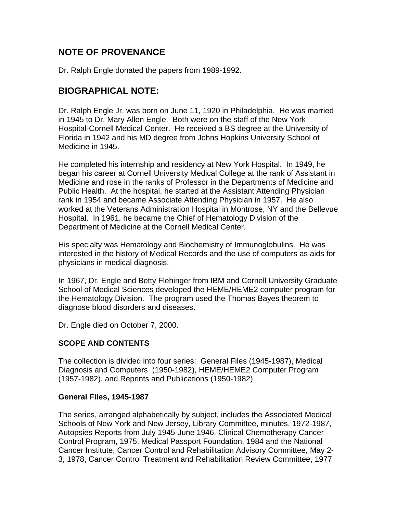# **NOTE OF PROVENANCE**

Dr. Ralph Engle donated the papers from 1989-1992.

# **BIOGRAPHICAL NOTE:**

Dr. Ralph Engle Jr. was born on June 11, 1920 in Philadelphia. He was married in 1945 to Dr. Mary Allen Engle. Both were on the staff of the New York Hospital-Cornell Medical Center. He received a BS degree at the University of Florida in 1942 and his MD degree from Johns Hopkins University School of Medicine in 1945.

He completed his internship and residency at New York Hospital. In 1949, he began his career at Cornell University Medical College at the rank of Assistant in Medicine and rose in the ranks of Professor in the Departments of Medicine and Public Health. At the hospital, he started at the Assistant Attending Physician rank in 1954 and became Associate Attending Physician in 1957. He also worked at the Veterans Administration Hospital in Montrose, NY and the Bellevue Hospital. In 1961, he became the Chief of Hematology Division of the Department of Medicine at the Cornell Medical Center.

His specialty was Hematology and Biochemistry of Immunoglobulins. He was interested in the history of Medical Records and the use of computers as aids for physicians in medical diagnosis.

In 1967, Dr. Engle and Betty Flehinger from IBM and Cornell University Graduate School of Medical Sciences developed the HEME/HEME2 computer program for the Hematology Division. The program used the Thomas Bayes theorem to diagnose blood disorders and diseases.

Dr. Engle died on October 7, 2000.

# **SCOPE AND CONTENTS**

The collection is divided into four series: General Files (1945-1987), Medical Diagnosis and Computers (1950-1982), HEME/HEME2 Computer Program (1957-1982), and Reprints and Publications (1950-1982).

### **General Files, 1945-1987**

The series, arranged alphabetically by subject, includes the Associated Medical Schools of New York and New Jersey, Library Committee, minutes, 1972-1987, Autopsies Reports from July 1945-June 1946, Clinical Chemotherapy Cancer Control Program, 1975, Medical Passport Foundation, 1984 and the National Cancer Institute, Cancer Control and Rehabilitation Advisory Committee, May 2- 3, 1978, Cancer Control Treatment and Rehabilitation Review Committee, 1977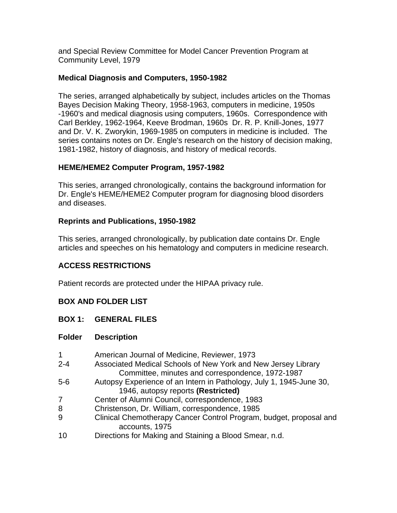and Special Review Committee for Model Cancer Prevention Program at Community Level, 1979

### **Medical Diagnosis and Computers, 1950-1982**

The series, arranged alphabetically by subject, includes articles on the Thomas Bayes Decision Making Theory, 1958-1963, computers in medicine, 1950s -1960's and medical diagnosis using computers, 1960s. Correspondence with Carl Berkley, 1962-1964, Keeve Brodman, 1960s Dr. R. P. Knill-Jones, 1977 and Dr. V. K. Zworykin, 1969-1985 on computers in medicine is included. The series contains notes on Dr. Engle's research on the history of decision making, 1981-1982, history of diagnosis, and history of medical records.

# **HEME/HEME2 Computer Program, 1957-1982**

This series, arranged chronologically, contains the background information for Dr. Engle's HEME/HEME2 Computer program for diagnosing blood disorders and diseases.

# **Reprints and Publications, 1950-1982**

This series, arranged chronologically, by publication date contains Dr. Engle articles and speeches on his hematology and computers in medicine research.

# **ACCESS RESTRICTIONS**

Patient records are protected under the HIPAA privacy rule.

# **BOX AND FOLDER LIST**

### **BOX 1: GENERAL FILES**

- 1 American Journal of Medicine, Reviewer, 1973 2-4 Associated Medical Schools of New York and New Jersey Library Committee, minutes and correspondence, 1972-1987
- 5-6 Autopsy Experience of an Intern in Pathology, July 1, 1945-June 30, 1946, autopsy reports **(Restricted)**
- 7 Center of Alumni Council, correspondence, 1983
- 8 Christenson, Dr. William, correspondence, 1985
- 9 Clinical Chemotherapy Cancer Control Program, budget, proposal and accounts, 1975
- 10 Directions for Making and Staining a Blood Smear, n.d.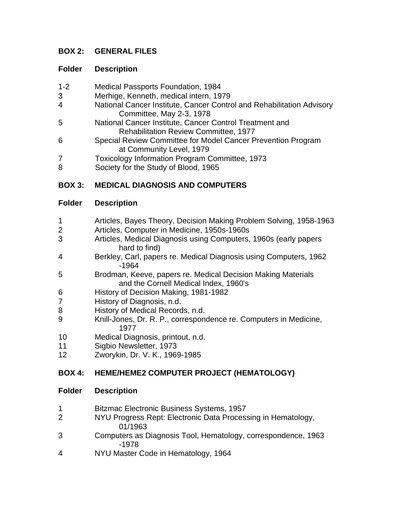# **BOX 2: GENERAL FILES**

### **Folder Description**

- 1-2 Medical Passports Foundation, 1984
- 3 Merhige, Kenneth, medical intern, 1979
- 4 National Cancer Institute, Cancer Control and Rehabilitation Advisory Committee, May 2-3, 1978
- 5 National Cancer Institute, Cancer Control Treatment and Rehabilitation Review Committee, 1977
- 6 Special Review Committee for Model Cancer Prevention Program at Community Level, 1979
- 7 Toxicology Information Program Committee, 1973
- 8 Society for the Study of Blood, 1965

# **BOX 3: MEDICAL DIAGNOSIS AND COMPUTERS**

### **Folder Description**

- 1 Articles, Bayes Theory, Decision Making Problem Solving, 1958-1963
- 2 Articles, Computer in Medicine, 1950s-1960s
- 3 Articles, Medical Diagnosis using Computers, 1960s (early papers hard to find)
- 4 Berkley, Carl, papers re. Medical Diagnosis using Computers, 1962 -1964
- 5 Brodman, Keeve, papers re. Medical Decision Making Materials and the Cornell Medical Index, 1960's
- 6 History of Decision Making, 1981-1982
- 7 History of Diagnosis, n.d.
- 8 History of Medical Records, n.d.
- 9 Knill-Jones, Dr. R. P., correspondence re. Computers in Medicine, 1977
- 10 Medical Diagnosis, printout, n.d.
- 11 Sigbio Newsletter, 1973
- 12 Zworykin, Dr. V. K., 1969-1985

# **BOX 4: HEME/HEME2 COMPUTER PROJECT (HEMATOLOGY)**

- 1 Bitzmac Electronic Business Systems, 1957
- 2 NYU Progress Rept: Electronic Data Processing in Hematology, 01/1963
- 3 Computers as Diagnosis Tool, Hematology, correspondence, 1963 -1978
- 4 NYU Master Code in Hematology, 1964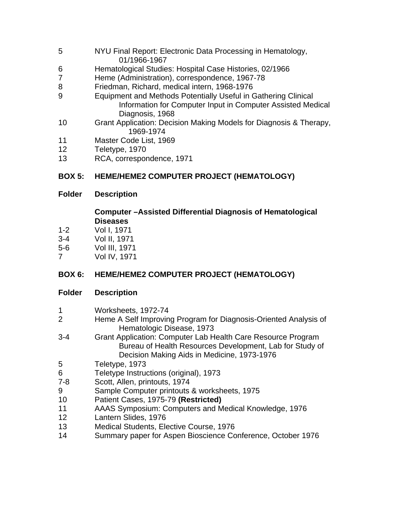- 5 NYU Final Report: Electronic Data Processing in Hematology, 01/1966-1967
- 6 Hematological Studies: Hospital Case Histories, 02/1966
- 7 Heme (Administration), correspondence, 1967-78
- 8 Friedman, Richard, medical intern, 1968-1976
- 9 Equipment and Methods Potentially Useful in Gathering Clinical Information for Computer Input in Computer Assisted Medical Diagnosis, 1968
- 10 Grant Application: Decision Making Models for Diagnosis & Therapy, 1969-1974
- 11 Master Code List, 1969
- 12 Teletype, 1970
- 13 RCA, correspondence, 1971

# **BOX 5: HEME/HEME2 COMPUTER PROJECT (HEMATOLOGY)**

# **Folder Description**

### **Computer –Assisted Differential Diagnosis of Hematological Diseases**

- 1-2 Vol I, 1971
- 3-4 Vol II, 1971
- 5-6 Vol III, 1971
- 7 Vol IV, 1971

# **BOX 6: HEME/HEME2 COMPUTER PROJECT (HEMATOLOGY)**

- 1 Worksheets, 1972-74
- 2 Heme A Self Improving Program for Diagnosis-Oriented Analysis of Hematologic Disease, 1973
- 3-4 Grant Application: Computer Lab Health Care Resource Program Bureau of Health Resources Development, Lab for Study of Decision Making Aids in Medicine, 1973-1976
- 5 Teletype, 1973
- 6 Teletype Instructions (original), 1973
- 7-8 Scott, Allen, printouts, 1974
- 9 Sample Computer printouts & worksheets, 1975
- 10 Patient Cases, 1975-79 **(Restricted)**
- 11 AAAS Symposium: Computers and Medical Knowledge, 1976
- 12 Lantern Slides, 1976
- 13 Medical Students, Elective Course, 1976
- 14 Summary paper for Aspen Bioscience Conference, October 1976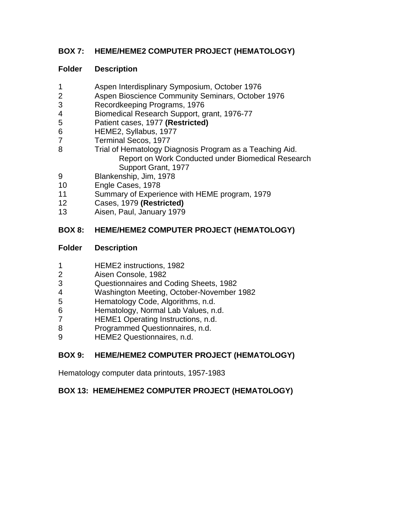# **BOX 7: HEME/HEME2 COMPUTER PROJECT (HEMATOLOGY)**

# **Folder Description**

- 1 Aspen Interdisplinary Symposium, October 1976
- 2 Aspen Bioscience Community Seminars, October 1976
- 3 Recordkeeping Programs, 1976
- 4 Biomedical Research Support, grant, 1976-77
- 5 Patient cases, 1977 **(Restricted)**
- 6 HEME2, Syllabus, 1977
- 7 Terminal Secos, 1977
- 8 Trial of Hematology Diagnosis Program as a Teaching Aid. Report on Work Conducted under Biomedical Research Support Grant, 1977
- 9 Blankenship, Jim, 1978
- 10 Engle Cases, 1978
- 11 Summary of Experience with HEME program, 1979
- 12 Cases, 1979 **(Restricted)**
- 13 Aisen, Paul, January 1979

# **BOX 8: HEME/HEME2 COMPUTER PROJECT (HEMATOLOGY)**

### **Folder Description**

- 1 HEME2 instructions, 1982
- 2 Aisen Console, 1982
- 3 Questionnaires and Coding Sheets, 1982
- 4 Washington Meeting, October-November 1982
- 5 Hematology Code, Algorithms, n.d.
- 6 Hematology, Normal Lab Values, n.d.
- 7 HEME1 Operating Instructions, n.d.
- 8 Programmed Questionnaires, n.d.
- 9 HEME2 Questionnaires, n.d.

# **BOX 9: HEME/HEME2 COMPUTER PROJECT (HEMATOLOGY)**

Hematology computer data printouts, 1957-1983

# **BOX 13: HEME/HEME2 COMPUTER PROJECT (HEMATOLOGY)**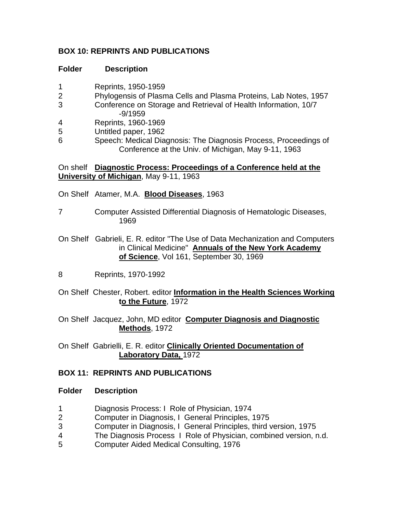# **BOX 10: REPRINTS AND PUBLICATIONS**

### **Folder Description**

- 1 Reprints, 1950-1959
- 2 Phylogensis of Plasma Cells and Plasma Proteins, Lab Notes, 1957
- 3 Conference on Storage and Retrieval of Health Information, 10/7 -9/1959
- 4 Reprints, 1960-1969
- 5 Untitled paper, 1962
- 6 Speech: Medical Diagnosis: The Diagnosis Process, Proceedings of Conference at the Univ. of Michigan, May 9-11, 1963

On shelf **Diagnostic Process: Proceedings of a Conference held at the University of Michigan**, May 9-11, 1963

- On Shelf Atamer, M.A. **Blood Diseases**, 1963
- 7 Computer Assisted Differential Diagnosis of Hematologic Diseases, 1969
- On Shelf Gabrieli, E. R. editor "The Use of Data Mechanization and Computers in Clinical Medicine" **Annuals of the New York Academy of Science**, Vol 161, September 30, 1969
- 8 Reprints, 1970-1992
- On Shelf Chester, Robert. editor **Information in the Health Sciences Working to the Future**, 1972
- On Shelf Jacquez, John, MD editor **Computer Diagnosis and Diagnostic Methods**, 1972

On Shelf Gabrielli, E. R. editor **Clinically Oriented Documentation of Laboratory Data,** 1972

# **BOX 11: REPRINTS AND PUBLICATIONS**

- 1 Diagnosis Process: I Role of Physician, 1974
- 2 Computer in Diagnosis, I General Principles, 1975
- 3 Computer in Diagnosis, I General Principles, third version, 1975
- 4 The Diagnosis Process I Role of Physician, combined version, n.d.
- 5 Computer Aided Medical Consulting, 1976